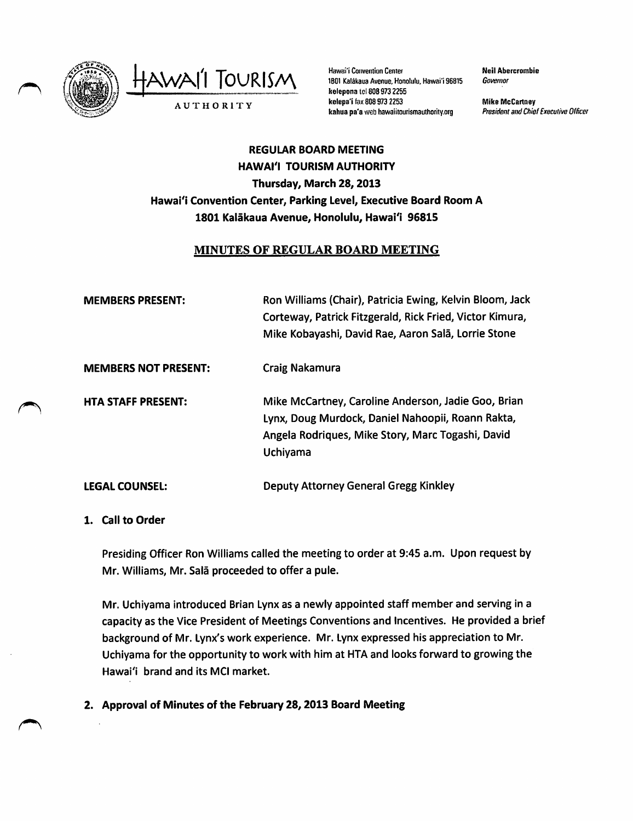

AWAI<sup>'</sup>I TOURISM Hawai'i Convention Center

1B01 Katakaua Avenue, Honolulu, Hawai'i 96815 kelepona id 8089732255 kelepa'i fax 808 973 2253 A U T H O R I T Y<br>
Rahua pa'a web hawaiitourismauthority.org President and Chief Executive Officer

Neil Abercrombie Governor

Mike McCartney

# REGULAR BOARD MEETING HAWAI'I TOURISM AUTHORITY Thursday, March 28,2013 Hawai'i Convention Center, Parking Level, Executive Board Room A 1801 Kaiakaua Avenue, Honolulu, Hawai'i 96815

# MINUTES OF REGULAR BOARD MEETING

| <b>MEMBERS PRESENT:</b>     | Ron Williams (Chair), Patricia Ewing, Kelvin Bloom, Jack<br>Corteway, Patrick Fitzgerald, Rick Fried, Victor Kimura,<br>Mike Kobayashi, David Rae, Aaron Salā, Lorrie Stone |
|-----------------------------|-----------------------------------------------------------------------------------------------------------------------------------------------------------------------------|
| <b>MEMBERS NOT PRESENT:</b> | Craig Nakamura                                                                                                                                                              |
| <b>HTA STAFF PRESENT:</b>   | Mike McCartney, Caroline Anderson, Jadie Goo, Brian<br>Lynx, Doug Murdock, Daniel Nahoopii, Roann Rakta,<br>Angela Rodriques, Mike Story, Marc Togashi, David<br>Uchiyama   |
| <b>LEGAL COUNSEL:</b>       | Deputy Attorney General Gregg Kinkley                                                                                                                                       |

## 1. Call to Order

Presiding Officer Ron Williams called the meeting to order at 9:45 a.m. Upon request by Mr. Williams, Mr. Sala proceeded to offer a pule.

Mr. Uchiyama introduced Brian Lynxas a newly appointed staff member and serving in a capacity as the Vice President of Meetings Conventions and Incentives. He provided a brief background of Mr. Lynx's work experience. Mr. Lynx expressed his appreciation to Mr. Uchiyama for the opportunity to work with him at HTA and looks forward to growing the Hawai'i brand and its MCI market.

2. Approval of Minutes of the February 28,2013 Board Meeting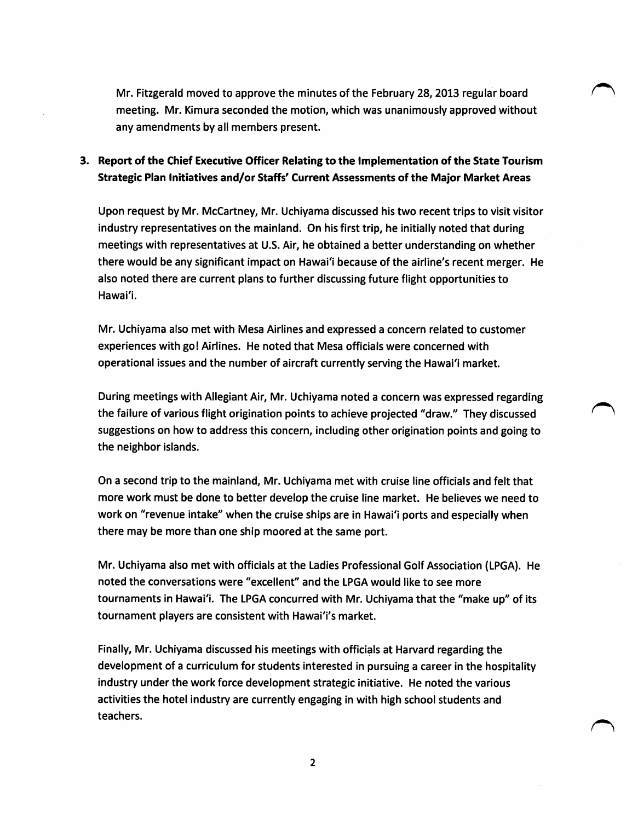Mr. Fitzgerald moved to approve the minutes of the February 28, 2013 regular board meeting. Mr. Kimura seconded the motion, which was unanimously approved without any amendments by all members present.

# 3. Report of the Chief Executive Officer Relating to the implementation of the State Tourism Strategic Plan Initiatives and/or Staffs' Current Assessments of the Major Market Areas

Upon request by Mr. McCartney, Mr. Uchiyama discussed his two recent trips to visit visitor industry representatives on the mainland. On his first trip, he initially noted that during meetings with representatives at U.S. Air, he obtained a better understanding on whether there would be any significant impact on Hawai'i because of the airline's recent merger. He also noted there are current plans to further discussing future flight opportunities to Hawai'i.

Mr. Uchiyama also met with Mesa Airlines and expressed a concern related to customer experiences with go! Airlines. He noted that Mesa officials were concerned with operational issues and the number of aircraft currently serving the Hawai'i market.

During meetings with Allegiant Air, Mr. Uchiyama noted a concern was expressed regarding the failure of various flight origination points to achieve projected "draw." They discussed suggestions on how to address this concern, including other origination points and going to the neighbor islands.

On a second trip to the mainland, Mr. Uchiyama met with cruise line officials and felt that more work must be done to better develop the cruise line market. He believes we need to work on "revenue intake" when the cruise ships are in Hawai'i ports and especially when there may be more than one ship moored at the same port.

Mr. Uchiyama also met with officials at the Ladies Professional Golf Association (LPGA). He noted the conversations were "excellent" and the LPGA would like to see more tournaments in Hawai'i. The LPGA concurred with Mr. Uchiyama that the "make up" of its tournament players are consistent with Hawai'i's market.

Finally, Mr. Uchiyama discussed his meetings with officials at Harvard regarding the development of a curriculum for students interested in pursuing a career in the hospitality industry under the work force development strategic initiative. He noted the various activities the hotel industry are currently engaging in with high school students and teachers.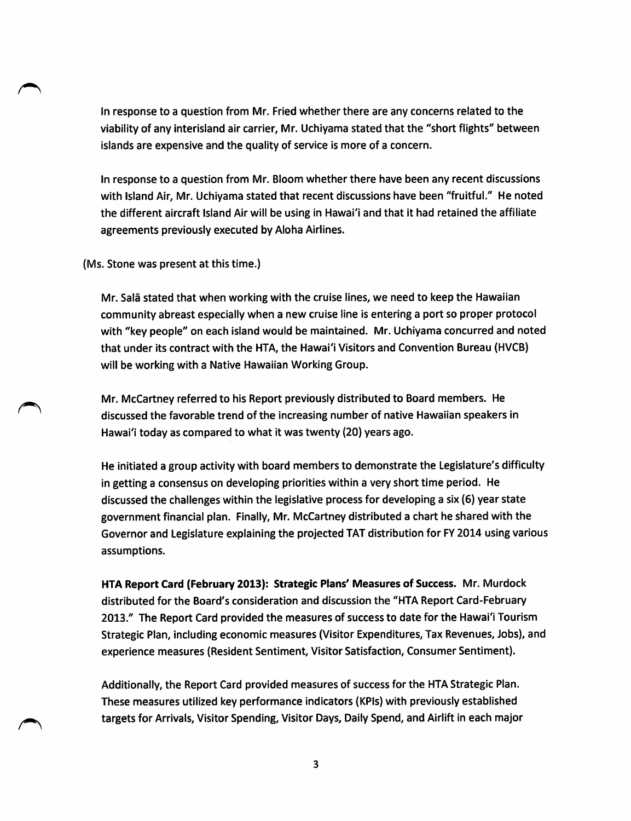In response to a question from Mr. Fried whether there are any concerns related to the viability of any interisland air carrier, Mr. Uchlyama stated that the "short flights" between islands are expensive and the quality of service is more of a concern.

In response to a question from Mr. Bloom whether there have been any recent discussions with Island Air, Mr. Uchivama stated that recent discussions have been "fruitful." He noted the different aircraft Island Air will be using in Hawai'i and that it had retained the affiliate agreements previously executed by Aloha Airlines.

(Ms. Stone was present at this time.)

 $\bigcap$ 

Mr. Sala stated that when working with the cruise lines, we need to keep the Hawaiian community abreast especially when a new cruise line is entering a port so proper protocol with "key people" on each island would be maintained. Mr. Uchiyama concurred and noted that under its contract with the HTA, the Hawai'i Visitors and Convention Bureau (HVCB) will be working with a Native Hawaiian Working Group.

Mr. McCartney referred to his Report previously distributed to Board members. He discussed the favorable trend of the increasing number of native Hawaiian speakers in Hawai'i today as compared to what it was twenty (20) years ago.

He initiated a group activity with board members to demonstrate the Legislature's difficulty in getting a consensus on developing priorities within a very short time period. He discussed the challenges within the legislative process for developing a six (6) year state government financial plan. Finally, Mr. McCartney distributed a chart he shared with the Governor and Legislature explaining the projected TAT distribution for FY 2014 using various assumptions.

HTA Report Card (February 2013): Strategic Plans' Measures of Success. Mr. Murdock distributed for the Board's consideration and discussion the "HTA Report Card-February 2013." The Report Card provided the measures of success to date for the Hawai'l Tourism Strategic Plan, including economic measures (Visitor Expenditures, Tax Revenues, Jobs), and experience measures (Resident Sentiment, Visitor Satisfaction, Consumer Sentiment).

Additionally, the Report Card provided measures of success for the HTA Strategic Plan. These measures utilized key performance indicators (KPIs) with previously established targets for Arrivals, Visitor Spending, Visitor Days, Daily Spend, and Airlift in each major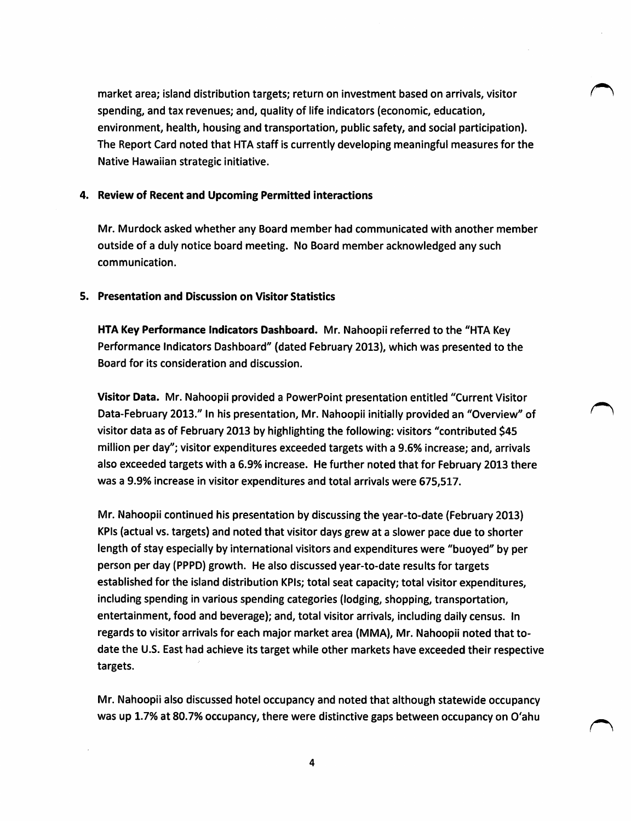market area; island distribution targets; return on investment based on arrivals, visitor spending, and tax revenues; and, quality of life indicators (economic, education, environment, health, housing and transportation, public safety, and social participation). The Report Card noted that HTA staff is currently developing meaningful measures for the Native Hawaiian strategic initiative.

#### 4. Review of Recent and Upcoming Permitted interactions

Mr. Murdock asked whether any Board member had communicated with another member outside of a duly notice board meeting. No Board member acknowledged any such communication.

#### 5. Presentation and Discussion on Visitor Statistics

HTA Key Performance Indicators Dashboard. Mr. Nahoopii referred to the "HTA Key Performance Indicators Dashboard" (dated February 2013), which was presented to the Board for its consideration and discussion.

Visitor Data. Mr. Nahoopii provided a PowerPoint presentation entitled "Current Visitor Data-February 2013." In his presentation, Mr. Nahoopii initially provided an "Overview" of visitor data as of February 2013 by highlighting the following: visitors "contributed \$45 million per day"; visitor expenditures exceeded targets with a 9.6% increase; and, arrivals also exceeded targets with a 6.9% increase. He further noted that for February 2013 there was a 9.9% increase in visitor expenditures and total arrivals were 675,517.

Mr. Nahoopii continued his presentation by discussing the year-to-date (February 2013) KPIs (actual vs. targets) and noted that visitor days grew at a slower pace due to shorter length of stay especially by international visitors and expenditures were "buoyed" by per person per day (PPPD) growth. He also discussed year-to-date results for targets established for the island distribution KPIs; total seat capacity; total visitor expenditures, including spending in various spending categories (lodging, shopping, transportation, entertainment, food and beverage); and, total visitor arrivals, including daily census. In regards to visitor arrivals for each major market area (MMA), Mr. Nahoopii noted that todate the U.S. East had achieve its target while other markets have exceeded their respective targets.

Mr. Nahoopii also discussed hotel occupancy and noted that although statewide occupancy was up 1.7% at 80.7% occupancy, there were distinctive gaps between occupancy on O'ahu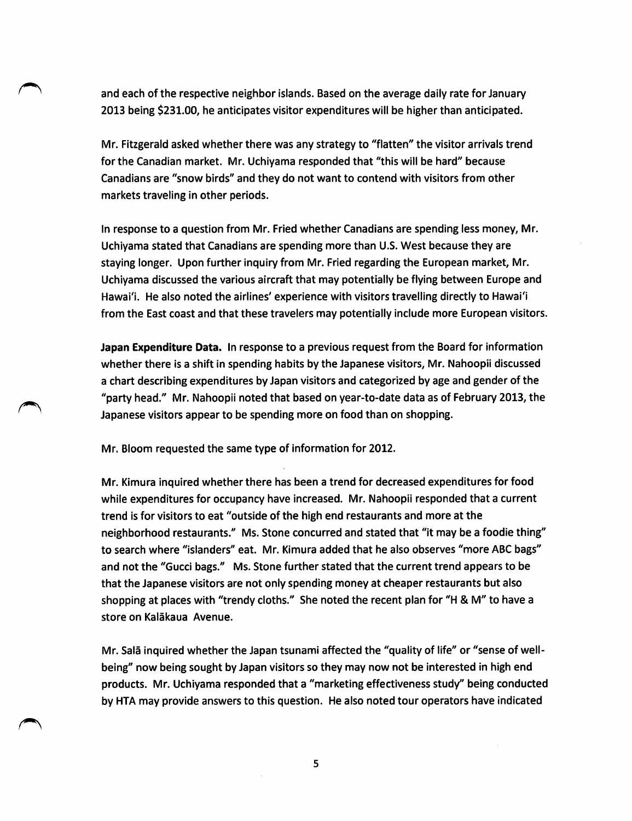and each of the respective neighbor islands. Based on the average daily rate for January 2013 being \$231.00, he anticipates visitor expenditures will be higher than anticipated.

Mr. Fitzgerald asked whether there was any strategy to "flatten" the visitor arrivals trend for the Canadian market. Mr. Uchiyama responded that "this will be hard" because Canadians are "snow birds" and they do not want to contend with visitors from other markets traveling in other periods.

In response to a question from Mr. Fried whether Canadians are spending less money, Mr. Uchiyama stated that Canadians are spending more than U.S.West because they are staying longer. Upon further inquiry from Mr. Fried regarding the European market, Mr. Uchiyama discussed the various aircraft that may potentially be flying between Europe and Hawai'i. He also noted the airlines' experience with visitors travelling directly to Hawai'i from the East coast and that these travelers may potentially include more European visitors.

Japan Expenditure Data. In response to a previous request from the Board for information whether there is a shift in spending habits by the Japanese visitors, Mr. Nahoopii discussed a chart describing expenditures by Japan visitors and categorized by age and gender of the "party head." Mr. Nahoopii noted that based on year-to-date data as of February 2013, the Japanese visitors appear to be spending more on food than on shopping.

Mr. Bloom requested the same type of information for 2012.

Mr. Kimura inquired whether there has been a trend for decreased expenditures for food while expenditures for occupancy have increased. Mr. Nahoopii responded that a current trend is for visitors to eat "outside of the high end restaurants and more at the neighborhood restaurants." Ms. Stone concurred and stated that "it may be a foodie thing" to search where "islanders" eat. Mr. Kimura added that he also observes "more ABC bags" and not the "Gucci bags." Ms. Stone further stated that the current trend appears to be that the Japanese visitors are not only spending money at cheaper restaurants but also shopping at places with "trendy cloths." She noted the recent plan for "H & M" to have a store on Kalākaua Avenue.

Mr. Salā inquired whether the Japan tsunami affected the "quality of life" or "sense of wellbeing" now being sought by Japan visitors so they may now not be interested in high end products. Mr. Uchiyama responded that a "marketing effectiveness study" being conducted by HTA may provide answers to this question. He also noted tour operators have indicated

5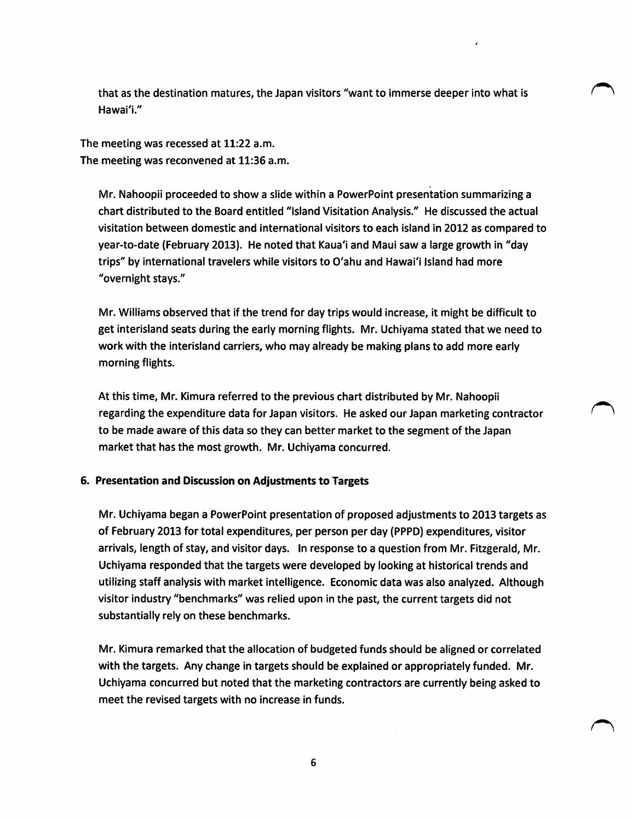that as the destination matures, the Japan visitors "want to immerse deeper into what is Hawai'i."

The meeting was recessed at 11:22 a.m. The meeting was reconvened at 11:36 a.m.

Mr. Nahoopii proceeded to show a slide within a PowerPoint presentation summarizing a chart distributed to the Board entitled "Island Visitation Analysis." He discussed the actual visitation between domestic and international visitors to each island in 2012 as compared to year-to-date (February 2013). He noted that Kaua'i and Maui saw a large growth in "'day trips" by international travelers while visitors to O'ahu and Hawai'i Island had more "overnight stays."

Mr. Williams observed that if the trend for day trips would increase, it might be difficult to get interisland seats during the early morning flights. Mr. Uchiyama stated that we need to work with the interisland carriers, who may already be making plans to add more early morning flights.

At this time, Mr. Kimura referred to the previous chart distributed by Mr. Nahoopii regarding the expenditure data for Japan visitors. He asked our Japan marketing contractor to be made aware of this data so they can better market to the segment of the Japan market that has the most growth. Mr. Uchiyama concurred.

## 6. Presentation and Discussion on Adjustments to Targets

Mr. Uchiyama began a PowerPoint presentation of proposed adjustments to 2013 targets as of February 2013 for total expenditures, per person per day (PPPD) expenditures, visitor arrivals, length of stay, and visitor days. In response to a question from Mr. Fitzgerald, Mr. Uchiyama responded that the targets were developed by looking at historical trends and utilizing staff analysis with market intelligence. Economic data was also analyzed. Although visitor industry "benchmarks" was relied upon in the past, the current targets did not substantially rely on these benchmarks.

Mr. Kimura remarked that the allocation of budgeted funds should be aligned or correlated with the targets. Any change in targets should be explained or appropriately funded. Mr. Uchiyama concurred but noted that the marketing contractors are currently being asked to meet the revised targets with no increase in funds.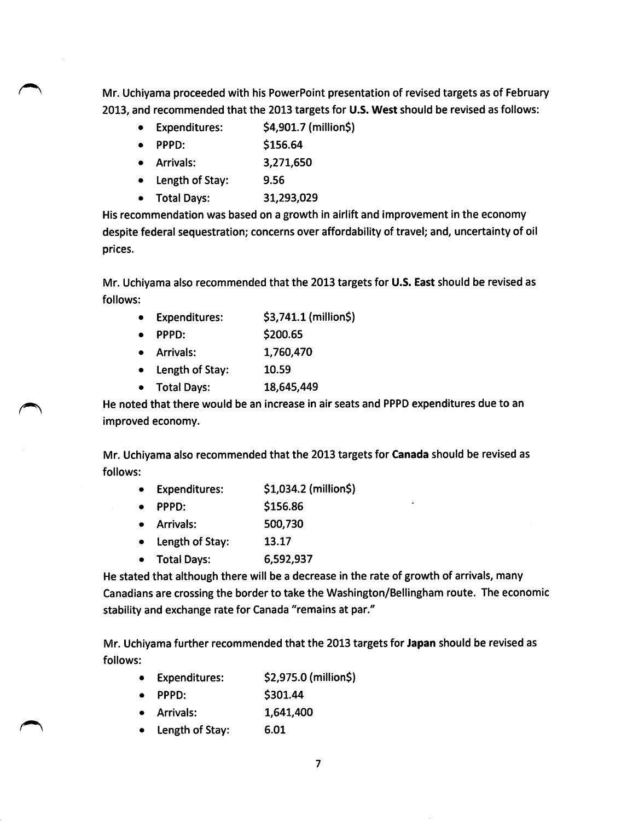Mr. Uchiyama proceeded with his PowerPoint presentation of revised targets as of February 2013, and recommended that the 2013 targets for U.S. West should be revised as follows:

- Expenditures:  $\frac{1}{2}$  \$4,901.7 (million\$)
- PPPD: \$156.64
- Arrivals: 3,271,650
- Length of Stay: 9.56
- Total Days: 31,293,029

His recommendation was based on a growth in airlift and improvement in the economy despite federal sequestration; concerns over affordability of travel; and, uncertainty of oil prices.

Mr. Uchiyama also recommended that the 2013 targets for U.S. East should be revised as follows:

- Expenditures: \$3,741.1 {million\$)
- PPPD: \$200.65
- Arrivals: 1,760,470
- Length of Stay: 10.59
- Total Days: 18,645,449

He noted that there would be an increase in air seats and PPPD expenditures due to an improved economy.

Mr. Uchiyama also recommended that the 2013 targets for Canada should be revised as follows:

- Expenditures: \$1,034.2 (million\$)
- PPPD: \$156.86
- Arrivals: 500,730
- Length of Stay: 13.17
- Total Days: 6,592,937

He stated that although there will be a decrease in the rate of growth of arrivals, many Canadians are crossing the border to take the Washington/Bellingham route. The economic stability and exchange rate for Canada "remains at par."

Mr. Uchiyama further recommended that the 2013 targets for Japan should be revised as follows:

- Expenditures: \$2,975.0 (million\$)
- PPPD: \$301.44
- Arrivals: 1,641,400
- Length of Stay: 6.01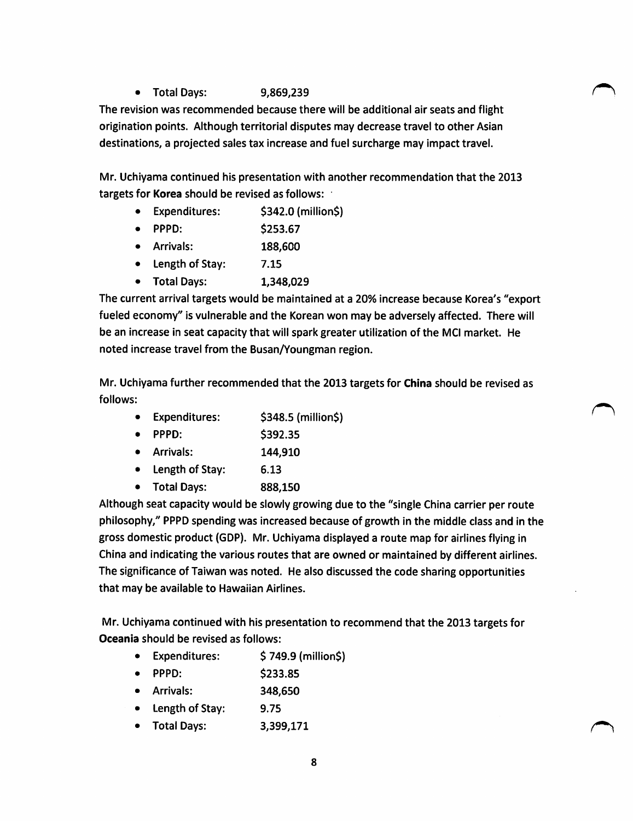• Total Days: 9,869,239

The revision was recommended because there will be additional air seats and flight origination points. Although territorial disputes may decrease travel to other Asian destinations, a projected sales tax increase and fuel surcharge may impact travel,

Mr. Uchiyama continued his presentation with another recommendation that the 2013 targets for Korea should be revised as follows:

- Expenditures: \$342.0 (million\$)
- PPPD: \$253.67
- Arrivals: 188,600
- Length of Stay: 7.15
- Total Days: 1,348,029

The current arrival targets would be maintained at a 20% increase because Korea's "export fueled economy" is vulnerable and the Korean won may be adversely affected. There will be an increase in seat capacity that will spark greater utilization of the MCl market. He noted increase travel from the Busan/Youngman region.

Mr. Uchiyama further recommended that the 2013 targets for China should be revised as follows:

- Expenditures: \$348.5 (million\$)
- PPPD: \$392.35
- Arrivals: 144,910
- Length of Stay: 6.13
- Total Days: 888,150

Although seat capacity would be slowly growing due to the "single China carrier per route philosophy," PPPD spending was increased because of growth in the middle class and in the gross domestic product (GDP). Mr. Uchiyama displayed a route map for airlines flying in China and indicating the various routes that are owned or maintained by different airlines. The significance of Taiwan was noted. He also discussed the code sharing opportunities that may be available to Hawaiian Airlines.

Mr. Uchiyama continued with his presentation to recommend that the 2013 targets for Oceania should be revised as follows:

- Expenditures: \$749.9 (million\$)
- PPPD: \$233.85
- Arrivals: 348,650
- Length of Stay: 9.75
- Total Days: 3,399,171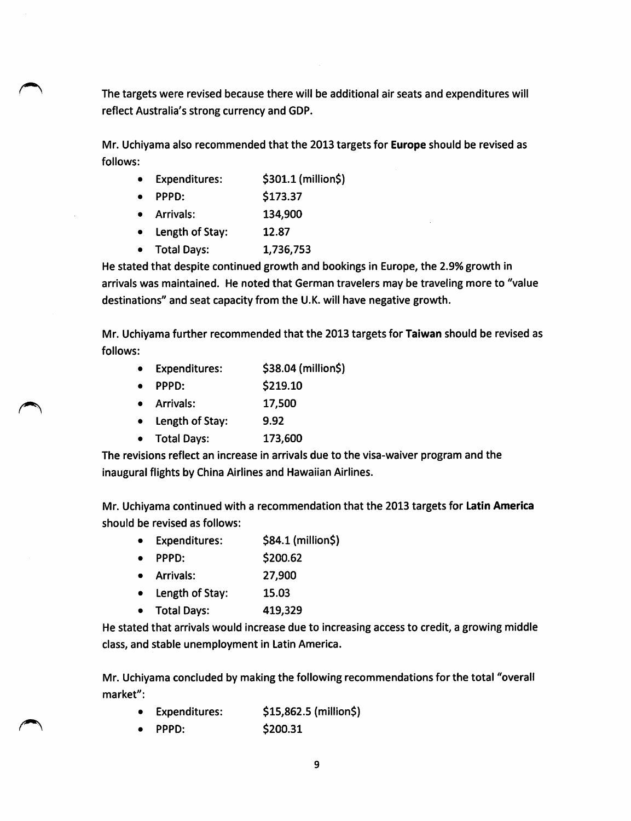The targets were revised because there will be additional air seats and expenditures will reflect Australia's strong currency and GDP.

Mr. Uchiyama also recommended that the 2013 targets for Europe should be revised as follows:

- Expenditures:  $$301.1$  (million\$)
- PPPD: \$173.37
- Arrivals: 134,900
- Length of Stay: 12.87
- Total Days: 1,736,753

He stated that despite continued growth and bookings in Europe, the 2.9% growth in arrivals was maintained. He noted that German travelers may be traveling more to "value destinations" and seat capacity from the U.K. will have negative growth.

Mr. Uchiyama further recommended that the 2013 targets for Taiwan should be revised as follows:

- Expenditures: \$38.04 (million\$)
	- PPPD: \$219.10
- Arrivals: 17,500
- Length of Stay: 9.92
- Total Days: 173,600

The revisions reflect an increase in arrivals due to the visa-waiver program and the inaugural flights by China Airlines and Hawaiian Airlines.

Mr. Uchiyama continued with a recommendation that the 2013 targets for Latin America should be revised as follows:

- Expenditures:  $$84.1$  (million\$)
- PPPD: \$200.62
- Arrivals: 27,900
- Length of Stay: 15.03
- Total Days: 419,329

He stated that arrivals would increase due to increasing access to credit, a growing middle class, and stable unemployment in Latin America.

Mr. Uchiyama concluded by making the following recommendations for the total "overall market":

- Expenditures: \$15,862.5 (mjlljon\$)
- PPPD: \$200.31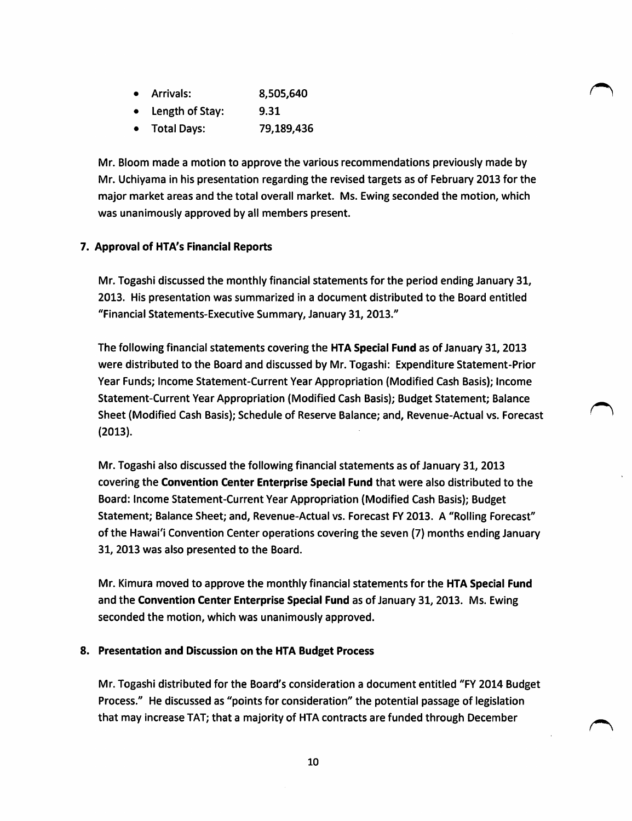| <b>Arrivals:</b> | 8,505,640 |
|------------------|-----------|
|------------------|-----------|

- **Length of Stay:** 9.31
- Total Days: 79,189,436

Mr. Bloom made a motion to approve the various recommendations previously made by Mr. Uchiyama in his presentation regarding the revised targets as of February 2013 for the major market areas and the total overall market. Ms. Ewing seconded the motion, which was unanimously approved by all members present.

## 7. Approval of HTA's Financial Reports

Mr. Togashi discussed the monthly financial statements for the period ending January 31, 2013. His presentation was summarized in a document distributed to the Board entitled "Financial Statements-Executive Summary, January 31, 2013."

The following financial statements covering the HTA Special Fund as of January 31, 2013 were distributed to the Board and discussed by Mr. Togashi: Expenditure Statement-Prior Year Funds; Income Statement-Current Year Appropriation (Modified Cash Basis); Income Statement-Current Year Appropriation (Modified Cash Basis); Budget Statement; Balance Sheet (Modified Cash Basis); Schedule of Reserve Balance; and, Revenue-Actual vs. Forecast (2013).

Mr. Togashi also discussed the following financial statements as of January 31, 2013 covering the Convention Center Enterprise Special Fund that were also distributed to the Board: Income Statement-Current Year Appropriation (Modified Cash Basis); Budget Statement; Balance Sheet; and, Revenue-Actual vs. Forecast FY 2013. A "Rolling Forecast" of the Hawai'i Convention Center operations covering the seven (7) months ending January 31, 2013 was also presented to the Board.

Mr. Kimura moved to approve the monthly financial statements for the HTA Special Fund and the Convention Center Enterprise Special Fund as of January 31, 2013. Ms. Ewing seconded the motion, which was unanimously approved.

#### 8. Presentation and Discussion on the HTA Budget Process

Mr. Togashi distributed for the Board's consideration a document entitled "FY 2014 Budget Process." He discussed as "points for consideration" the potential passage of legislation that may increase TAT; that a majority of HTA contracts are funded through December

10